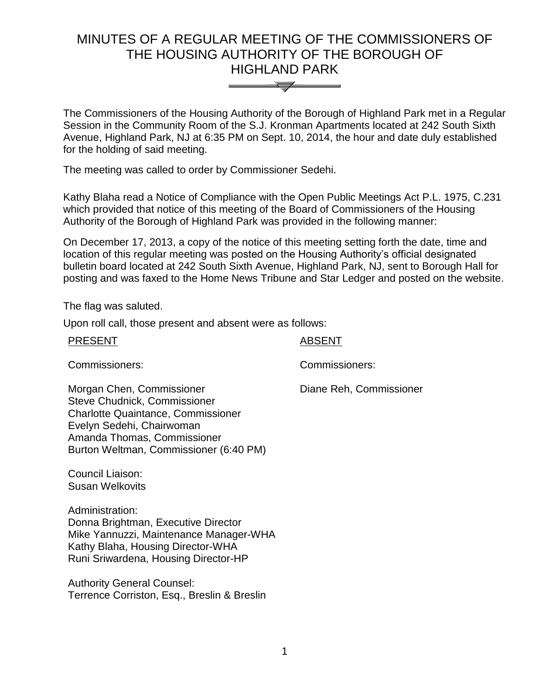# MINUTES OF A REGULAR MEETING OF THE COMMISSIONERS OF THE HOUSING AUTHORITY OF THE BOROUGH OF HIGHLAND PARK



The Commissioners of the Housing Authority of the Borough of Highland Park met in a Regular Session in the Community Room of the S.J. Kronman Apartments located at 242 South Sixth Avenue, Highland Park, NJ at 6:35 PM on Sept. 10, 2014, the hour and date duly established for the holding of said meeting.

The meeting was called to order by Commissioner Sedehi.

Kathy Blaha read a Notice of Compliance with the Open Public Meetings Act P.L. 1975, C.231 which provided that notice of this meeting of the Board of Commissioners of the Housing Authority of the Borough of Highland Park was provided in the following manner:

On December 17, 2013, a copy of the notice of this meeting setting forth the date, time and location of this regular meeting was posted on the Housing Authority's official designated bulletin board located at 242 South Sixth Avenue, Highland Park, NJ, sent to Borough Hall for posting and was faxed to the Home News Tribune and Star Ledger and posted on the website.

The flag was saluted.

Upon roll call, those present and absent were as follows:

| <b>PRESENT</b>                                                                                                                                                                                               | ABSENT                  |
|--------------------------------------------------------------------------------------------------------------------------------------------------------------------------------------------------------------|-------------------------|
| Commissioners:                                                                                                                                                                                               | Commissioners:          |
| Morgan Chen, Commissioner<br>Steve Chudnick, Commissioner<br><b>Charlotte Quaintance, Commissioner</b><br>Evelyn Sedehi, Chairwoman<br>Amanda Thomas, Commissioner<br>Burton Weltman, Commissioner (6:40 PM) | Diane Reh, Commissioner |
| Council Liaison:<br>Susan Welkovits                                                                                                                                                                          |                         |
| Administration:<br>Donna Brightman, Executive Director<br>Mike Yannuzzi, Maintenance Manager-WHA<br>Kathy Blaha, Housing Director-WHA<br>Runi Sriwardena, Housing Director-HP                                |                         |

Authority General Counsel: Terrence Corriston, Esq., Breslin & Breslin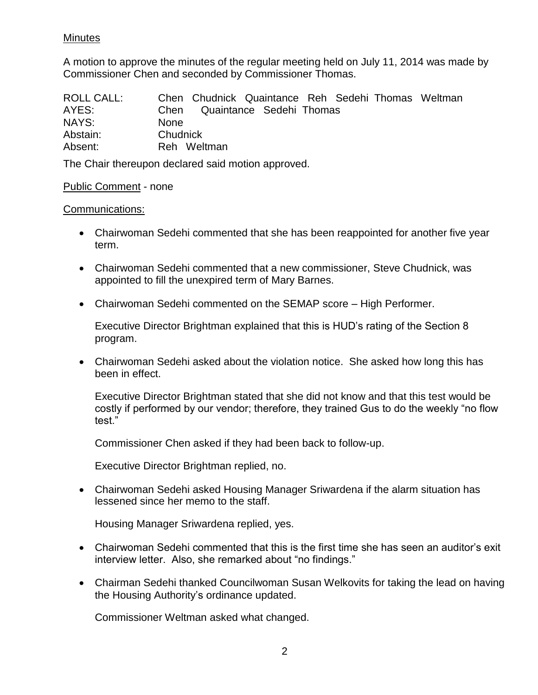# Minutes

A motion to approve the minutes of the regular meeting held on July 11, 2014 was made by Commissioner Chen and seconded by Commissioner Thomas.

| <b>ROLL CALL:</b> | Chen Chudnick Quaintance Reh Sedehi Thomas Weltman |
|-------------------|----------------------------------------------------|
| AYES:             | Quaintance Sedehi Thomas<br>Chen                   |
| NAYS:             | <b>None</b>                                        |
| Abstain:          | Chudnick                                           |
| Absent:           | Reh Weltman                                        |

The Chair thereupon declared said motion approved.

## Public Comment - none

## Communications:

- Chairwoman Sedehi commented that she has been reappointed for another five year term.
- Chairwoman Sedehi commented that a new commissioner, Steve Chudnick, was appointed to fill the unexpired term of Mary Barnes.
- Chairwoman Sedehi commented on the SEMAP score High Performer.

Executive Director Brightman explained that this is HUD's rating of the Section 8 program.

 Chairwoman Sedehi asked about the violation notice. She asked how long this has been in effect.

Executive Director Brightman stated that she did not know and that this test would be costly if performed by our vendor; therefore, they trained Gus to do the weekly "no flow test."

Commissioner Chen asked if they had been back to follow-up.

Executive Director Brightman replied, no.

 Chairwoman Sedehi asked Housing Manager Sriwardena if the alarm situation has lessened since her memo to the staff.

Housing Manager Sriwardena replied, yes.

- Chairwoman Sedehi commented that this is the first time she has seen an auditor's exit interview letter. Also, she remarked about "no findings."
- Chairman Sedehi thanked Councilwoman Susan Welkovits for taking the lead on having the Housing Authority's ordinance updated.

Commissioner Weltman asked what changed.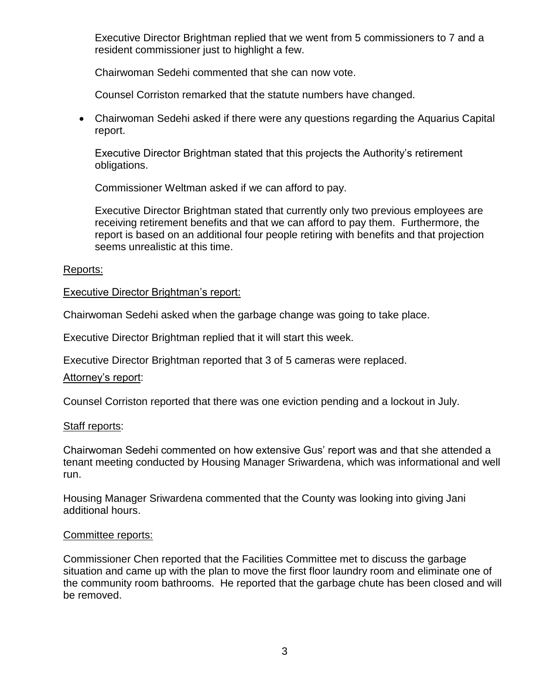Executive Director Brightman replied that we went from 5 commissioners to 7 and a resident commissioner just to highlight a few.

Chairwoman Sedehi commented that she can now vote.

Counsel Corriston remarked that the statute numbers have changed.

 Chairwoman Sedehi asked if there were any questions regarding the Aquarius Capital report.

Executive Director Brightman stated that this projects the Authority's retirement obligations.

Commissioner Weltman asked if we can afford to pay.

Executive Director Brightman stated that currently only two previous employees are receiving retirement benefits and that we can afford to pay them. Furthermore, the report is based on an additional four people retiring with benefits and that projection seems unrealistic at this time.

#### Reports:

## Executive Director Brightman's report:

Chairwoman Sedehi asked when the garbage change was going to take place.

Executive Director Brightman replied that it will start this week.

Executive Director Brightman reported that 3 of 5 cameras were replaced.

#### Attorney's report:

Counsel Corriston reported that there was one eviction pending and a lockout in July.

#### Staff reports:

Chairwoman Sedehi commented on how extensive Gus' report was and that she attended a tenant meeting conducted by Housing Manager Sriwardena, which was informational and well run.

Housing Manager Sriwardena commented that the County was looking into giving Jani additional hours.

#### Committee reports:

Commissioner Chen reported that the Facilities Committee met to discuss the garbage situation and came up with the plan to move the first floor laundry room and eliminate one of the community room bathrooms. He reported that the garbage chute has been closed and will be removed.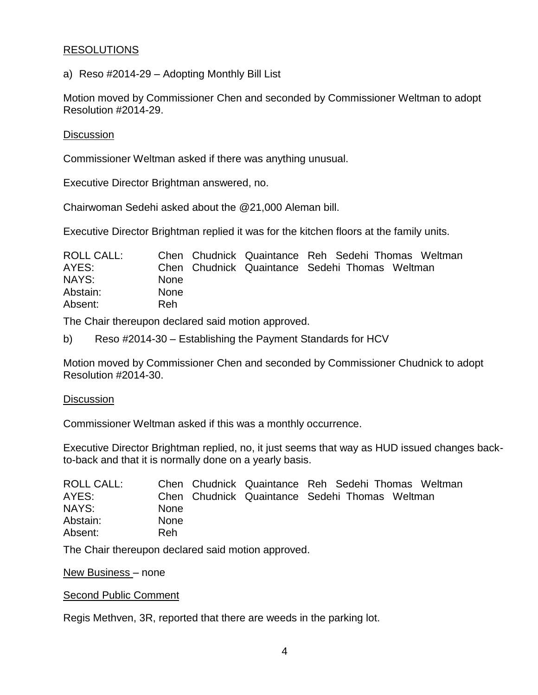# **RESOLUTIONS**

a) Reso #2014-29 – Adopting Monthly Bill List

Motion moved by Commissioner Chen and seconded by Commissioner Weltman to adopt Resolution #2014-29.

#### **Discussion**

Commissioner Weltman asked if there was anything unusual.

Executive Director Brightman answered, no.

Chairwoman Sedehi asked about the @21,000 Aleman bill.

Executive Director Brightman replied it was for the kitchen floors at the family units.

| ROLL CALL: |             |  | Chen Chudnick Quaintance Reh Sedehi Thomas Weltman |  |
|------------|-------------|--|----------------------------------------------------|--|
| AYES:      |             |  | Chen Chudnick Quaintance Sedehi Thomas Weltman     |  |
| NAYS:      | <b>None</b> |  |                                                    |  |
| Abstain:   | <b>None</b> |  |                                                    |  |
| Absent:    | Reh         |  |                                                    |  |

The Chair thereupon declared said motion approved.

b) Reso #2014-30 – Establishing the Payment Standards for HCV

Motion moved by Commissioner Chen and seconded by Commissioner Chudnick to adopt Resolution #2014-30.

#### **Discussion**

Commissioner Weltman asked if this was a monthly occurrence.

Executive Director Brightman replied, no, it just seems that way as HUD issued changes backto-back and that it is normally done on a yearly basis.

| ROLL CALL: |             |  | Chen Chudnick Quaintance Reh Sedehi Thomas Weltman |
|------------|-------------|--|----------------------------------------------------|
| AYES:      |             |  | Chen Chudnick Quaintance Sedehi Thomas Weltman     |
| NAYS:      | <b>None</b> |  |                                                    |
| Abstain:   | <b>None</b> |  |                                                    |
| Absent:    | Reh.        |  |                                                    |

The Chair thereupon declared said motion approved.

New Business – none

Second Public Comment

Regis Methven, 3R, reported that there are weeds in the parking lot.